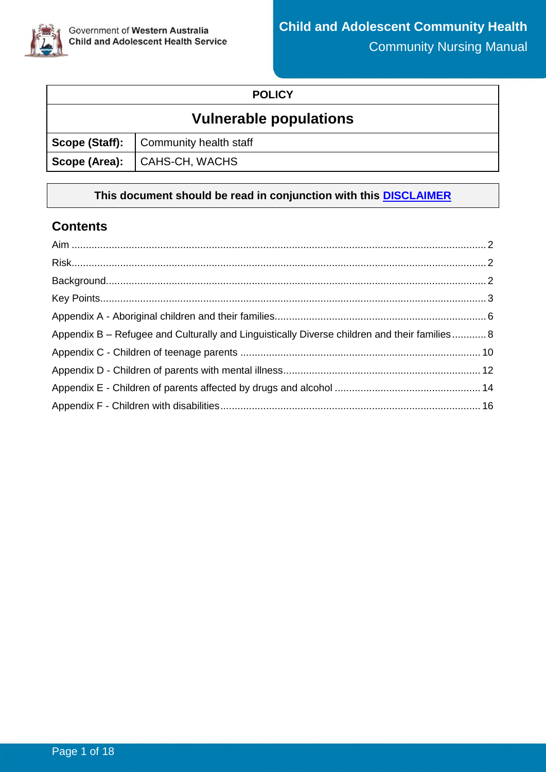

### **POLICY**

# **Vulnerable populations**

| Scope (Staff): Community health staff |
|---------------------------------------|
| Scope (Area):   CAHS-CH, WACHS        |

### **This document should be read in conjunction with this [DISCLAIMER](https://ww2.health.wa.gov.au/About-us/Child-and-Adolescent-Health-Service/Child-and-Adolescent-Community-Health/Professional-resources/Community-Health-Clinical-Nursing-Manual/CAHS-clinical-disclaimer)**

### **Contents**

| Appendix B – Refugee and Culturally and Linguistically Diverse children and their families 8 |
|----------------------------------------------------------------------------------------------|
|                                                                                              |
|                                                                                              |
|                                                                                              |
|                                                                                              |
|                                                                                              |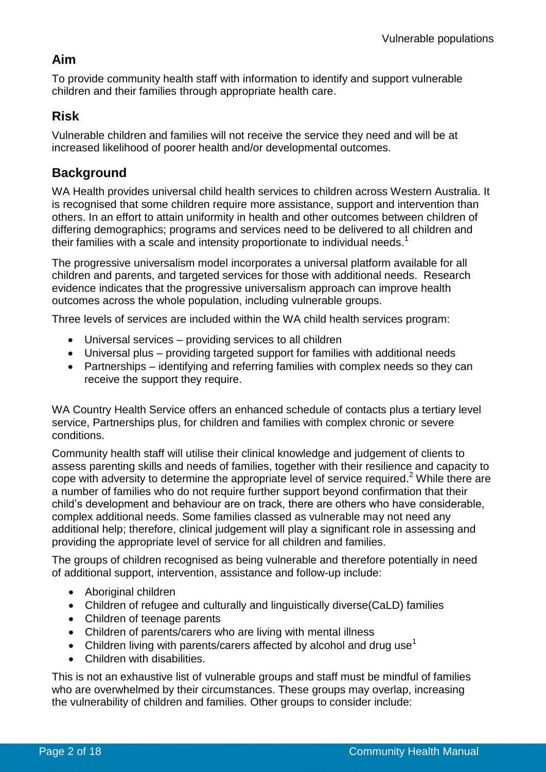## <span id="page-1-0"></span>**Aim**

To provide community health staff with information to identify and support vulnerable children and their families through appropriate health care.

## <span id="page-1-1"></span>**Risk**

Vulnerable children and families will not receive the service they need and will be at increased likelihood of poorer health and/or developmental outcomes.

## <span id="page-1-2"></span>**Background**

WA Health provides universal child health services to children across Western Australia. It is recognised that some children require more assistance, support and intervention than others. In an effort to attain uniformity in health and other outcomes between children of differing demographics; programs and services need to be delivered to all children and their families with a scale and intensity proportionate to individual needs.<sup>1</sup>

The progressive universalism model incorporates a universal platform available for all children and parents, and targeted services for those with additional needs. Research evidence indicates that the progressive universalism approach can improve health outcomes across the whole population, including vulnerable groups.

Three levels of services are included within the WA child health services program:

- Universal services providing services to all children
- Universal plus providing targeted support for families with additional needs
- Partnerships identifying and referring families with complex needs so they can receive the support they require.

WA Country Health Service offers an enhanced schedule of contacts plus a tertiary level service, Partnerships plus, for children and families with complex chronic or severe conditions.

Community health staff will utilise their clinical knowledge and judgement of clients to assess parenting skills and needs of families, together with their resilience and capacity to cope with adversity to determine the appropriate level of service required.<sup>2</sup> While there are a number of families who do not require further support beyond confirmation that their child's development and behaviour are on track, there are others who have considerable, complex additional needs. Some families classed as vulnerable may not need any additional help; therefore, clinical judgement will play a significant role in assessing and providing the appropriate level of service for all children and families.

The groups of children recognised as being vulnerable and therefore potentially in need of additional support, intervention, assistance and follow-up include:

- Aboriginal children
- Children of refugee and culturally and linguistically diverse(CaLD) families
- Children of teenage parents
- Children of parents/carers who are living with mental illness
- Children living with parents/carers affected by alcohol and drug use<sup>1</sup>
- Children with disabilities.

This is not an exhaustive list of vulnerable groups and staff must be mindful of families who are overwhelmed by their circumstances. These groups may overlap, increasing the vulnerability of children and families. Other groups to consider include: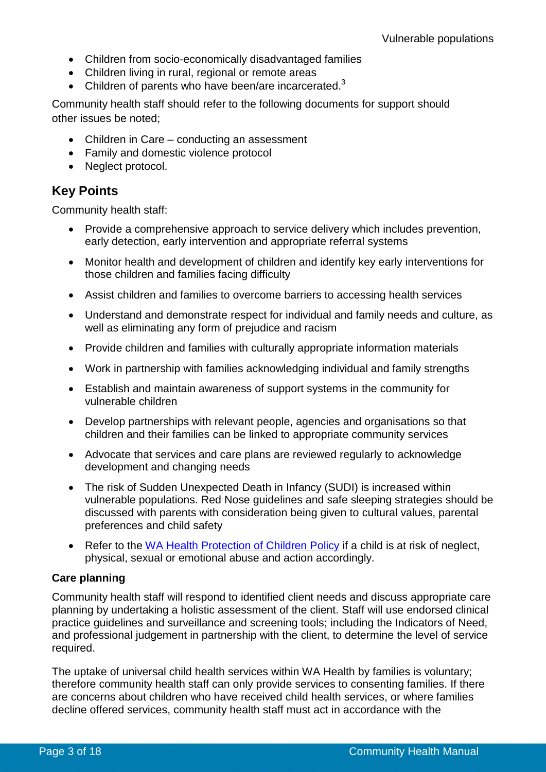- Children from socio-economically disadvantaged families
- Children living in rural, regional or remote areas
- Children of parents who have been/are incarcerated. $3$

Community health staff should refer to the following documents for support should other issues be noted;

- Children in Care conducting an assessment
- Family and domestic violence protocol
- Neglect protocol.

### <span id="page-2-0"></span>**Key Points**

Community health staff:

- Provide a comprehensive approach to service delivery which includes prevention, early detection, early intervention and appropriate referral systems
- Monitor health and development of children and identify key early interventions for those children and families facing difficulty
- Assist children and families to overcome barriers to accessing health services
- Understand and demonstrate respect for individual and family needs and culture, as well as eliminating any form of prejudice and racism
- Provide children and families with culturally appropriate information materials
- Work in partnership with families acknowledging individual and family strengths
- Establish and maintain awareness of support systems in the community for vulnerable children
- Develop partnerships with relevant people, agencies and organisations so that children and their families can be linked to appropriate community services
- Advocate that services and care plans are reviewed regularly to acknowledge development and changing needs
- The risk of Sudden Unexpected Death in Infancy (SUDI) is increased within vulnerable populations. Red Nose guidelines and safe sleeping strategies should be discussed with parents with consideration being given to cultural values, parental preferences and child safety
- Refer to the [WA Health Protection of Children Policy](https://cahs-healthpoint.hdwa.health.wa.gov.au/directory/SPOCC/Pages/default.aspx) if a child is at risk of neglect, physical, sexual or emotional abuse and action accordingly.

### **Care planning**

Community health staff will respond to identified client needs and discuss appropriate care planning by undertaking a holistic assessment of the client. Staff will use endorsed clinical practice guidelines and surveillance and screening tools; including the Indicators of Need, and professional judgement in partnership with the client, to determine the level of service required.

The uptake of universal child health services within WA Health by families is voluntary; therefore community health staff can only provide services to consenting families. If there are concerns about children who have received child health services, or where families decline offered services, community health staff must act in accordance with the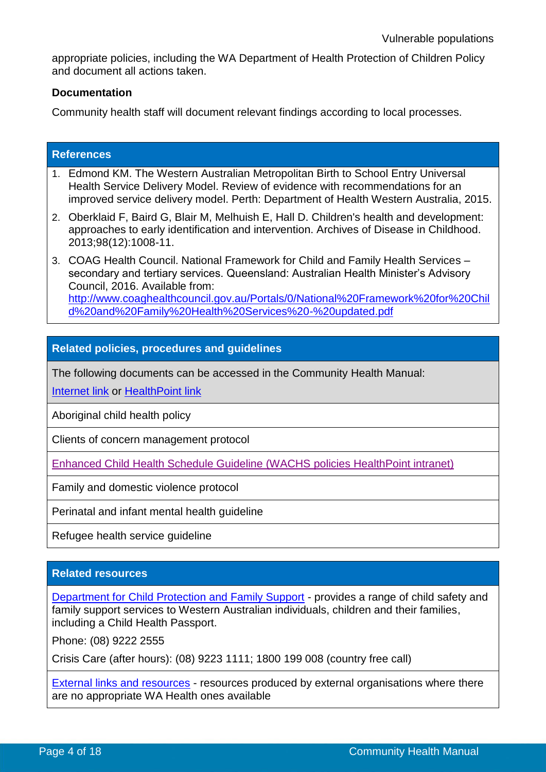appropriate policies, including the WA Department of Health Protection of Children Policy and document all actions taken.

#### **Documentation**

Community health staff will document relevant findings according to local processes.

| <b>References</b> |                                                                                                                                                                                                                                                             |  |  |  |
|-------------------|-------------------------------------------------------------------------------------------------------------------------------------------------------------------------------------------------------------------------------------------------------------|--|--|--|
|                   | 1. Edmond KM. The Western Australian Metropolitan Birth to School Entry Universal<br>Health Service Delivery Model. Review of evidence with recommendations for an<br>improved service delivery model. Perth: Department of Health Western Australia, 2015. |  |  |  |
|                   | 2. Oberklaid F, Baird G, Blair M, Melhuish E, Hall D. Children's health and development:<br>approaches to early identification and intervention. Archives of Disease in Childhood.<br>2013;98(12):1008-11.                                                  |  |  |  |
|                   | 3. COAG Health Council. National Framework for Child and Family Health Services -<br>secondary and tertiary services. Queensland: Australian Health Minister's Advisory<br>Council, 2016. Available from:                                                   |  |  |  |

[http://www.coaghealthcouncil.gov.au/Portals/0/National%20Framework%20for%20Chil](http://www.coaghealthcouncil.gov.au/Portals/0/National%20Framework%20for%20Child%20and%20Family%20Health%20Services%20-%20updated.pdf) [d%20and%20Family%20Health%20Services%20-%20updated.pdf](http://www.coaghealthcouncil.gov.au/Portals/0/National%20Framework%20for%20Child%20and%20Family%20Health%20Services%20-%20updated.pdf)

### **Related policies, procedures and guidelines**

The following documents can be accessed in the Community Health Manual:

[Internet link](http://ww2.health.wa.gov.au/About-us/Child-and-Adolescent-Health-Service/Child-and-Adolescent-Community-Health) or [HealthPoint link](https://cahs-healthpoint.hdwa.health.wa.gov.au/Policies/cahspolicies/Pages/default.aspx)

Aboriginal child health policy

Clients of concern management protocol

[Enhanced Child Health Schedule Guideline \(WACHS](https://healthpoint.hdwa.health.wa.gov.au/policies/Pages/WACHS-Policies-Landing.aspx) policies HealthPoint intranet)

Family and domestic violence protocol

Perinatal and infant mental health guideline

Refugee health service guideline

### **Related resources**

[Department for Child Protection and Family Support](http://www.dcp.wa.gov.au/Pages/Home.aspx) - provides a range of child safety and family support services to Western Australian individuals, children and their families, including a Child Health Passport.

Phone: (08) 9222 2555

Crisis Care (after hours): (08) 9223 1111; 1800 199 008 (country free call)

[External links and resources](https://cahs-healthpoint.hdwa.health.wa.gov.au/cach/resources/Pages/external-links-and-resources.aspx) - resources produced by external organisations where there are no appropriate WA Health ones available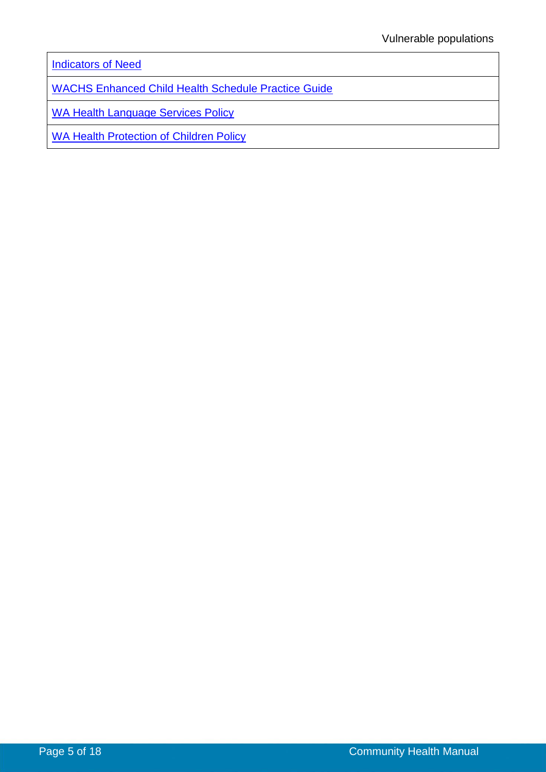**[Indicators of Need](https://cahs-healthpoint.hdwa.health.wa.gov.au/cach/resources/Pages/Staff-Resources---Child-Health.aspx)** 

[WACHS Enhanced Child Health Schedule Practice Guide](https://healthpoint.hdwa.health.wa.gov.au/policies/WACHS%20Policy%20Related%20Resources/Associated%20Resource%20Documents/WACHS%20ECHS%20Practice%20Guide.pdf)

[WA Health Language Services Policy](http://www.health.wa.gov.au/circularsnew/circular.cfm?Circ_ID=12826)

[WA Health Protection of](https://cahs-healthpoint.hdwa.health.wa.gov.au/directory/SPOCC/Pages/default.aspx) Children Policy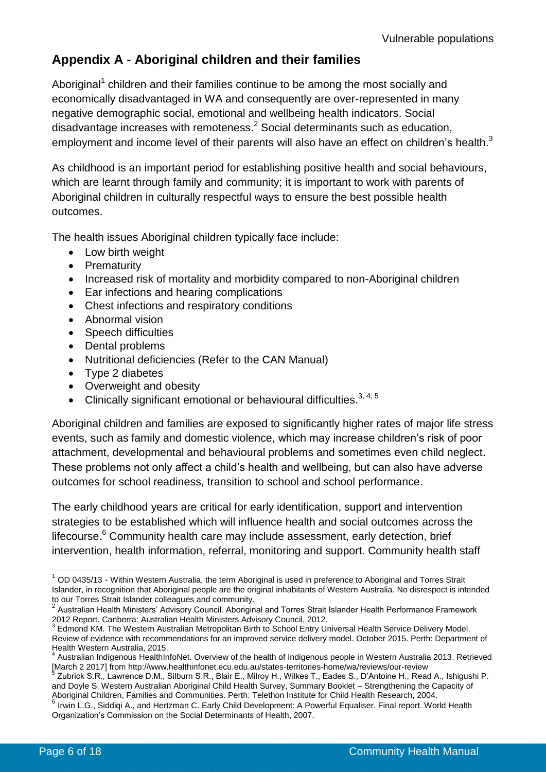## <span id="page-5-0"></span>**Appendix A - Aboriginal children and their families**

Aboriginal<sup>1</sup> children and their families continue to be among the most socially and economically disadvantaged in WA and consequently are over-represented in many negative demographic social, emotional and wellbeing health indicators. Social disadvantage increases with remoteness. $<sup>2</sup>$  Social determinants such as education,</sup> employment and income level of their parents will also have an effect on children's health. $3$ 

As childhood is an important period for establishing positive health and social behaviours, which are learnt through family and community; it is important to work with parents of Aboriginal children in culturally respectful ways to ensure the best possible health outcomes.

The health issues Aboriginal children typically face include:

- Low birth weight
- Prematurity
- Increased risk of mortality and morbidity compared to non-Aboriginal children
- Ear infections and hearing complications
- Chest infections and respiratory conditions
- Abnormal vision
- Speech difficulties
- Dental problems
- Nutritional deficiencies (Refer to the CAN Manual)
- Type 2 diabetes
- Overweight and obesity
- Clinically significant emotional or behavioural difficulties.  $3, 4, 5$

Aboriginal children and families are exposed to significantly higher rates of major life stress events, such as family and domestic violence, which may increase children's risk of poor attachment, developmental and behavioural problems and sometimes even child neglect. These problems not only affect a child's health and wellbeing, but can also have adverse outcomes for school readiness, transition to school and school performance.

The early childhood years are critical for early identification, support and intervention strategies to be established which will influence health and social outcomes across the lifecourse.<sup>6</sup> Community health care may include assessment, early detection, brief intervention, health information, referral, monitoring and support. Community health staff

<sup>-</sup> $1$  OD 0435/13 - Within Western Australia, the term Aboriginal is used in preference to Aboriginal and Torres Strait Islander, in recognition that Aboriginal people are the original inhabitants of Western Australia. No disrespect is intended to our Torres Strait Islander colleagues and community.

<sup>2</sup> Australian Health Ministers' Advisory Council. Aboriginal and Torres Strait Islander Health Performance Framework 2012 Report. Canberra: Australian Health Ministers Advisory Council, 2012.

<sup>&</sup>lt;sup>3</sup> Edmond KM. The Western Australian Metropolitan Birth to School Entry Universal Health Service Delivery Model. Review of evidence with recommendations for an improved service delivery model. October 2015. Perth: Department of Health Western Australia, 2015.

<sup>4</sup> Australian Indigenous HealthInfoNet. Overview of the health of Indigenous people in Western Australia 2013. Retrieved [March 2 2017] fro[m http://www.healthinfonet.ecu.edu.au/states-territories-home/wa/reviews/our-review](http://www.healthinfonet.ecu.edu.au/states-territories-home/wa/reviews/our-review)

<sup>5</sup> Zubrick S.R., Lawrence D.M., Silburn S.R., Blair E., Milroy H., Wilkes T., Eades S., D'Antoine H., Read A., Ishigushi P. and Doyle S. Western Australian Aboriginal Child Health Survey, Summary Booklet – Strengthening the Capacity of Aboriginal Children, Families and Communities. Perth: Telethon Institute for Child Health Research, 2004.<br><sup>6</sup> Javie L.C., Siddigi A., and Hertzman C. Ferly Child Development: A Powerful Fauglies: Finel report, We

Irwin L.G., Siddiqi A., and Hertzman C. Early Child Development: A Powerful Equaliser. Final report. World Health Organization's Commission on the Social Determinants of Health, 2007.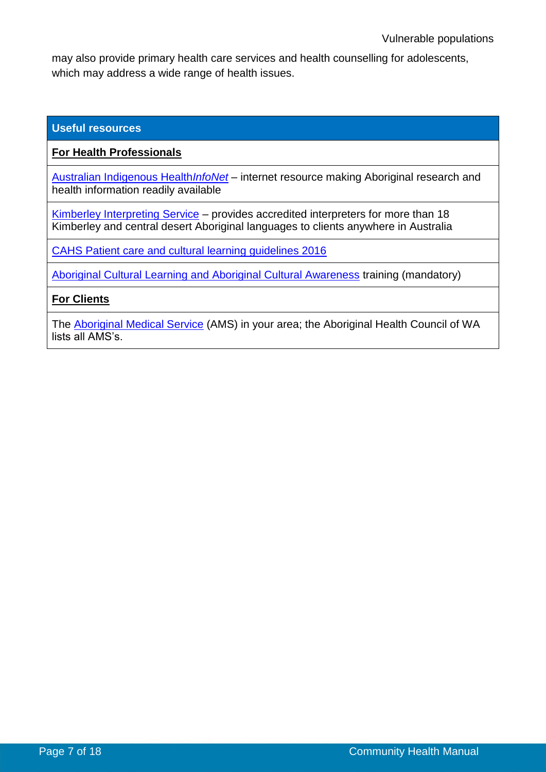may also provide primary health care services and health counselling for adolescents, which may address a wide range of health issues.

#### **Useful resources**

**For Health Professionals**

[Australian Indigenous Health](http://www.healthinfonet.ecu.edu.au/)*InfoNet* – internet resource making Aboriginal research and health information readily available

[Kimberley Interpreting Service](http://www.kimberleyinterpreting.org.au/) – provides accredited interpreters for more than 18 Kimberley and central desert Aboriginal languages to clients anywhere in Australia

[CAHS Patient care and cultural learning guidelines 2016](https://cahs-healthpoint.hdwa.health.wa.gov.au/directory/aboriginalhealth/Pages/CAHS-Cultural-Learning-Plan.aspx)

[Aboriginal Cultural Learning and Aboriginal Cultural Awareness](https://cahs-healthpoint.hdwa.health.wa.gov.au/cach/LearningandDevelopment/My-Learning/Pages/Training-and-Education-Calendar.aspx) training (mandatory)

**For Clients**

The [Aboriginal Medical Service](http://www.ahcwa.org.au/) (AMS) in your area; the Aboriginal Health Council of WA lists all AMS's.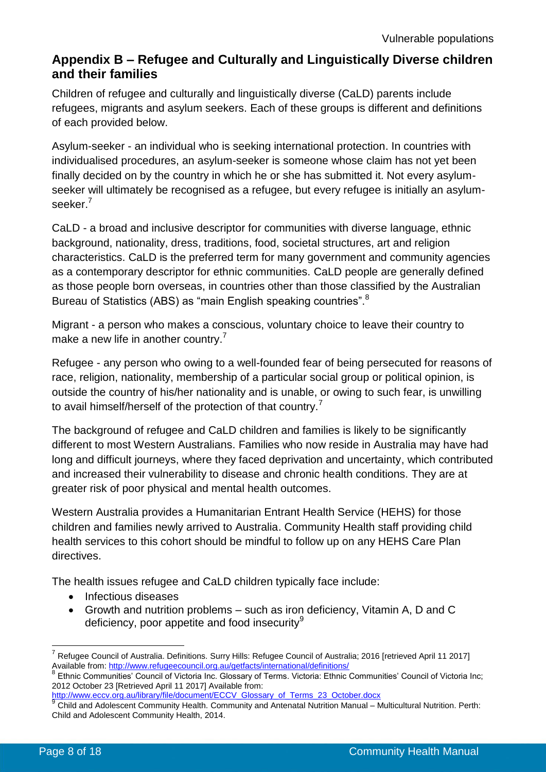### <span id="page-7-0"></span>**Appendix B – Refugee and Culturally and Linguistically Diverse children and their families**

Children of refugee and culturally and linguistically diverse (CaLD) parents include refugees, migrants and asylum seekers. Each of these groups is different and definitions of each provided below.

Asylum-seeker - an individual who is seeking international protection. In countries with individualised procedures, an asylum-seeker is someone whose claim has not yet been finally decided on by the country in which he or she has submitted it. Not every asylumseeker will ultimately be recognised as a refugee, but every refugee is initially an asylumseeker.<sup>7</sup>

CaLD - a broad and inclusive descriptor for communities with diverse language, ethnic background, nationality, dress, traditions, food, societal structures, art and religion characteristics. CaLD is the preferred term for many government and community agencies as a contemporary descriptor for ethnic communities. CaLD people are generally defined as those people born overseas, in countries other than those classified by the Australian Bureau of Statistics (ABS) as "main English speaking countries".<sup>8</sup>

Migrant - a person who makes a conscious, voluntary choice to leave their country to make a new life in another country.<sup>7</sup>

Refugee - any person who owing to a well-founded fear of being persecuted for reasons of race, religion, nationality, membership of a particular social group or political opinion, is outside the country of his/her nationality and is unable, or owing to such fear, is unwilling to avail himself/herself of the protection of that country.<sup>7</sup>

The background of refugee and CaLD children and families is likely to be significantly different to most Western Australians. Families who now reside in Australia may have had long and difficult journeys, where they faced deprivation and uncertainty, which contributed and increased their vulnerability to disease and chronic health conditions. They are at greater risk of poor physical and mental health outcomes.

Western Australia provides a Humanitarian Entrant Health Service (HEHS) for those children and families newly arrived to Australia. Community Health staff providing child health services to this cohort should be mindful to follow up on any HEHS Care Plan directives.

The health issues refugee and CaLD children typically face include:

- Infectious diseases
- Growth and nutrition problems such as iron deficiency, Vitamin A, D and C deficiency, poor appetite and food insecurity $9$

[http://www.eccv.org.au/library/file/document/ECCV\\_Glossary\\_of\\_Terms\\_23\\_October.docx](http://www.eccv.org.au/library/file/document/ECCV_Glossary_of_Terms_23_October.docx)  9

<sup>7</sup> Refugee Council of Australia. Definitions. Surry Hills: Refugee Council of Australia; 2016 [retrieved April 11 2017] Available from[: http://www.refugeecouncil.org.au/getfacts/international/definitions/](http://www.refugeecouncil.org.au/getfacts/international/definitions/)<br><sup>8</sup> Ethnic Communition, Council of Victoria Inc. Closean: of Terme, Victoria: Ethnic

Ethnic Communities' Council of Victoria Inc. Glossary of Terms. Victoria: Ethnic Communities' Council of Victoria Inc; 2012 October 23 [Retrieved April 11 2017] Available from:

Child and Adolescent Community Health. Community and Antenatal Nutrition Manual – Multicultural Nutrition. Perth: Child and Adolescent Community Health, 2014.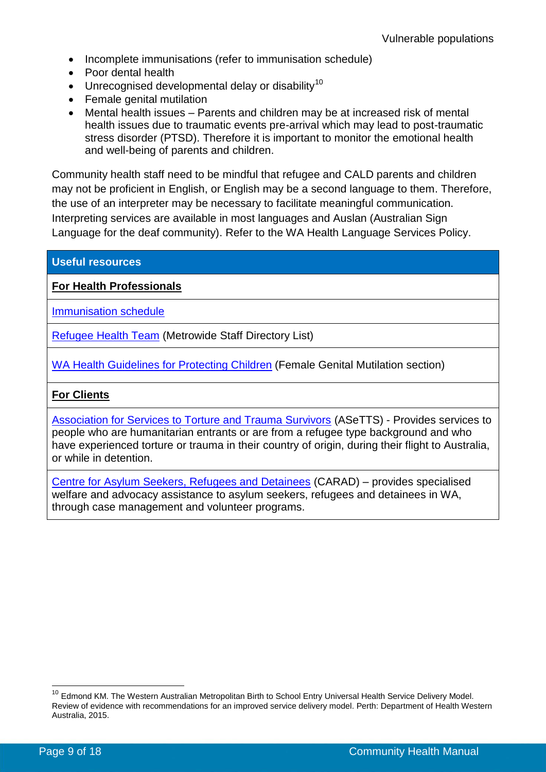- Incomplete immunisations (refer to immunisation schedule)
- Poor dental health
- $\bullet$  Unrecognised developmental delay or disability<sup>10</sup>
- Female genital mutilation
- Mental health issues Parents and children may be at increased risk of mental health issues due to traumatic events pre-arrival which may lead to post-traumatic stress disorder (PTSD). Therefore it is important to monitor the emotional health and well-being of parents and children.

Community health staff need to be mindful that refugee and CALD parents and children may not be proficient in English, or English may be a second language to them. Therefore, the use of an interpreter may be necessary to facilitate meaningful communication. Interpreting services are available in most languages and Auslan (Australian Sign Language for the deaf community). Refer to the WA Health Language Services Policy.

### **Useful resources**

**For Health Professionals**

[Immunisation schedule](http://ww2.health.wa.gov.au/Articles/F_I/Immunisation-provider-information-and-resources)

[Refugee Health Team](file://///hdwa.health.wa.gov.au/shared/CACH/Common%20Folders/Contact%20List) (Metrowide Staff Directory List)

[WA Health Guidelines for Protecting Children](https://cahs-healthpoint.hdwa.health.wa.gov.au/directory/SPOCC/Pages/default.aspx) (Female Genital Mutilation section)

### **For Clients**

[Association for Services to Torture and Trauma Survivors](http://www.asetts.org.au/) (ASeTTS) - Provides services to people who are humanitarian entrants or are from a refugee type background and who have experienced torture or trauma in their country of origin, during their flight to Australia, or while in detention.

[Centre for Asylum Seekers, Refugees and Detainees](http://www.carad.org.au/) (CARAD) – provides specialised welfare and advocacy assistance to asylum seekers, refugees and detainees in WA, through case management and volunteer programs.

 $\overline{1}$ 

<sup>&</sup>lt;sup>10</sup> Edmond KM. The Western Australian Metropolitan Birth to School Entry Universal Health Service Delivery Model. Review of evidence with recommendations for an improved service delivery model. Perth: Department of Health Western Australia, 2015.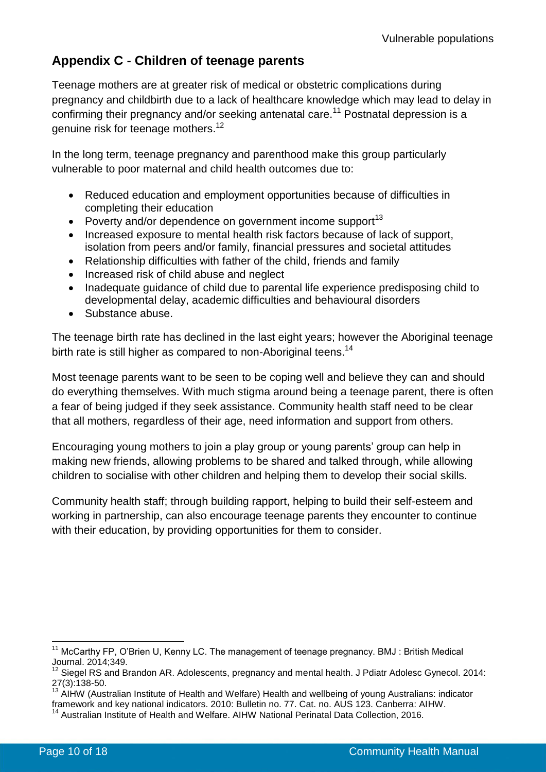## <span id="page-9-0"></span>**Appendix C - Children of teenage parents**

Teenage mothers are at greater risk of medical or obstetric complications during pregnancy and childbirth due to a lack of healthcare knowledge which may lead to delay in confirming their pregnancy and/or seeking antenatal care.<sup>11</sup> Postnatal depression is a genuine risk for teenage mothers.<sup>12</sup>

In the long term, teenage pregnancy and parenthood make this group particularly vulnerable to poor maternal and child health outcomes due to:

- Reduced education and employment opportunities because of difficulties in completing their education
- Poverty and/or dependence on government income support<sup>13</sup>
- Increased exposure to mental health risk factors because of lack of support, isolation from peers and/or family, financial pressures and societal attitudes
- Relationship difficulties with father of the child, friends and family
- Increased risk of child abuse and neglect
- Inadequate quidance of child due to parental life experience predisposing child to developmental delay, academic difficulties and behavioural disorders
- Substance abuse.

The teenage birth rate has declined in the last eight years; however the Aboriginal teenage birth rate is still higher as compared to non-Aboriginal teens.<sup>14</sup>

Most teenage parents want to be seen to be coping well and believe they can and should do everything themselves. With much stigma around being a teenage parent, there is often a fear of being judged if they seek assistance. Community health staff need to be clear that all mothers, regardless of their age, need information and support from others.

Encouraging young mothers to join a play group or young parents' group can help in making new friends, allowing problems to be shared and talked through, while allowing children to socialise with other children and helping them to develop their social skills.

Community health staff; through building rapport, helping to build their self-esteem and working in partnership, can also encourage teenage parents they encounter to continue with their education, by providing opportunities for them to consider.

<sup>&</sup>lt;sup>11</sup> McCarthy FP, O'Brien U, Kenny LC. The management of teenage pregnancy. BMJ: British Medical Journal. 2014;349.

<sup>12</sup> Siegel RS and Brandon AR. Adolescents, pregnancy and mental health. J Pdiatr Adolesc Gynecol. 2014: 27(3):138-50.

<sup>&</sup>lt;sup>13</sup> AIHW (Australian Institute of Health and Welfare) Health and wellbeing of young Australians: indicator framework and key national indicators. 2010: Bulletin no. 77. Cat. no. AUS 123. Canberra: AIHW.

<sup>&</sup>lt;sup>14</sup> Australian Institute of Health and Welfare. AIHW National Perinatal Data Collection, 2016.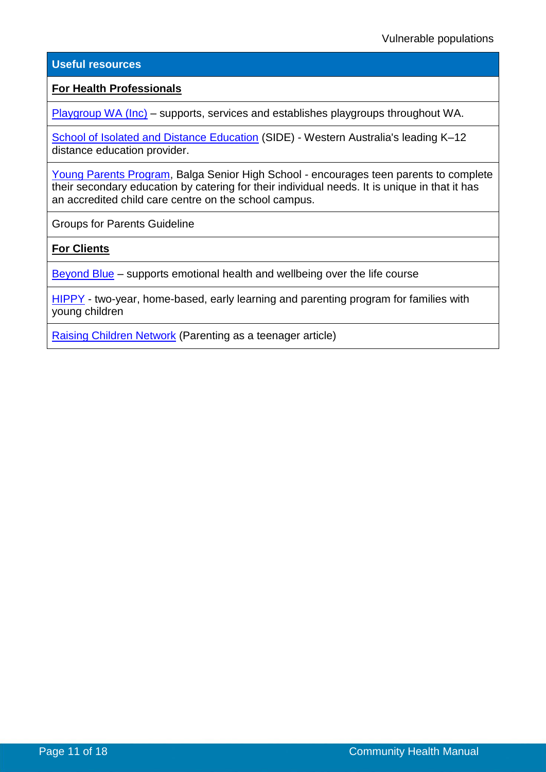#### **Useful resources**

#### **For Health Professionals**

[Playgroup WA \(Inc\)](http://playgroupwa.com.au/) – supports, services and establishes playgroups throughout WA.

[School of Isolated and Distance Education](https://www.side.wa.edu.au/) (SIDE) - Western Australia's leading K–12 distance education provider.

[Young Parents Program,](http://www.balgashs.wa.edu.au/index.html) Balga Senior High School - encourages teen parents to complete their secondary education by catering for their individual needs. It is unique in that it has an accredited child care centre on the school campus.

Groups for Parents Guideline

**For Clients**

[Beyond Blue](https://healthyfamilies.beyondblue.org.au/) – supports emotional health and wellbeing over the life course

[HIPPY](http://hippyaustralia.bsl.org.au/) - two-year, home-based, early learning and parenting program for families with young children

[Raising Children Network](http://raisingchildren.net.au/) (Parenting as a teenager article)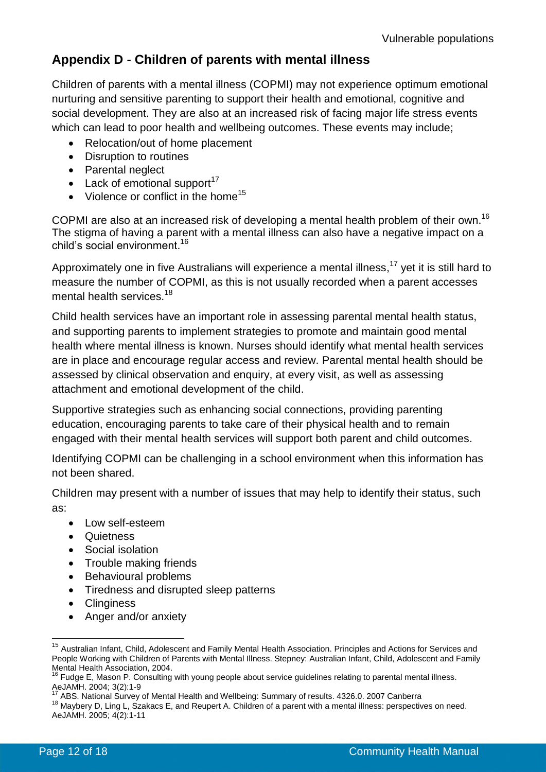## <span id="page-11-0"></span>**Appendix D - Children of parents with mental illness**

Children of parents with a mental illness (COPMI) may not experience optimum emotional nurturing and sensitive parenting to support their health and emotional, cognitive and social development. They are also at an increased risk of facing major life stress events which can lead to poor health and wellbeing outcomes. These events may include:

- Relocation/out of home placement
- Disruption to routines
- Parental neglect
- $\bullet$  Lack of emotional support<sup>17</sup>
- $\bullet$  Violence or conflict in the home<sup>15</sup>

COPMI are also at an increased risk of developing a mental health problem of their own.<sup>16</sup> The stigma of having a parent with a mental illness can also have a negative impact on a child's social environment. 16

Approximately one in five Australians will experience a mental illness,<sup>17</sup> yet it is still hard to measure the number of COPMI, as this is not usually recorded when a parent accesses mental health services.<sup>18</sup>

Child health services have an important role in assessing parental mental health status, and supporting parents to implement strategies to promote and maintain good mental health where mental illness is known. Nurses should identify what mental health services are in place and encourage regular access and review. Parental mental health should be assessed by clinical observation and enquiry, at every visit, as well as assessing attachment and emotional development of the child.

Supportive strategies such as enhancing social connections, providing parenting education, encouraging parents to take care of their physical health and to remain engaged with their mental health services will support both parent and child outcomes.

Identifying COPMI can be challenging in a school environment when this information has not been shared.

Children may present with a number of issues that may help to identify their status, such as:

- Low self-esteem
- Quietness
- Social isolation
- Trouble making friends
- Behavioural problems
- Tiredness and disrupted sleep patterns
- Clinginess
- Anger and/or anxiety

<sup>&</sup>lt;sup>15</sup> Australian Infant, Child, Adolescent and Family Mental Health Association. Principles and Actions for Services and People Working with Children of Parents with Mental Illness. Stepney: Australian Infant, Child, Adolescent and Family Mental Health Association, 2004.

 $16$  Fudge E, Mason P. Consulting with young people about service guidelines relating to parental mental illness. AeJAMH. 2004; 3(2):1-9

<sup>17</sup> ABS. National Survey of Mental Health and Wellbeing: Summary of results. 4326.0. 2007 Canberra

<sup>18</sup> Maybery D, Ling L, Szakacs E, and Reupert A. Children of a parent with a mental illness: perspectives on need. AeJAMH. 2005; 4(2):1-11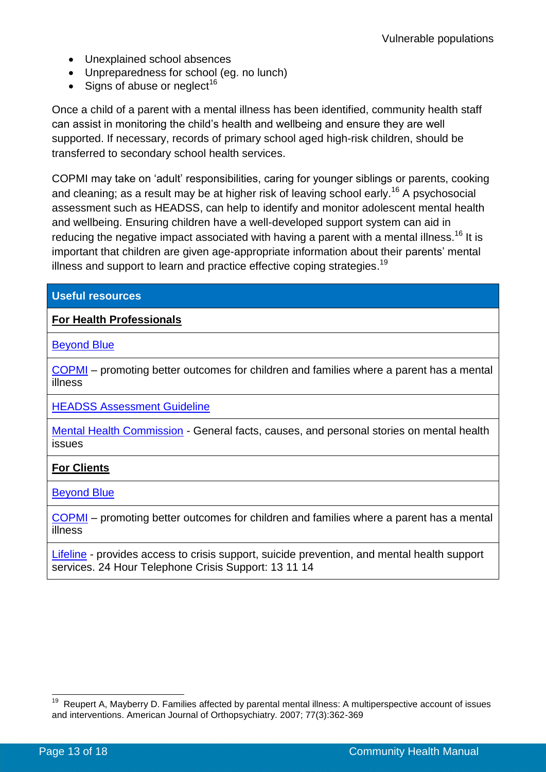- Unexplained school absences
- Unpreparedness for school (eg. no lunch)
- $\bullet$  Signs of abuse or neglect<sup>16</sup>

Once a child of a parent with a mental illness has been identified, community health staff can assist in monitoring the child's health and wellbeing and ensure they are well supported. If necessary, records of primary school aged high-risk children, should be transferred to secondary school health services.

COPMI may take on 'adult' responsibilities, caring for younger siblings or parents, cooking and cleaning; as a result may be at higher risk of leaving school early.<sup>16</sup> A psychosocial assessment such as HEADSS, can help to identify and monitor adolescent mental health and wellbeing. Ensuring children have a well-developed support system can aid in reducing the negative impact associated with having a parent with a mental illness.<sup>16</sup> It is important that children are given age-appropriate information about their parents' mental illness and support to learn and practice effective coping strategies.<sup>19</sup>

### **Useful resources**

### **For Health Professionals**

[Beyond Blue](https://www.beyondblue.org.au/)

[COPMI](http://www.copmi.net.au/) – promoting better outcomes for children and families where a parent has a mental illness

[HEADSS Assessment Guideline](https://healthpoint.hdwa.health.wa.gov.au/policies/Pages/CACH-Community-Health.aspx)

[Mental Health Commission](https://www.mhc.wa.gov.au/) - General facts, causes, and personal stories on mental health issues

### **For Clients**

[Beyond Blue](https://www.beyondblue.org.au/)

[COPMI](http://www.copmi.net.au/) – promoting better outcomes for children and families where a parent has a mental illness

[Lifeline](http://www.lifelinewa.org.au/) - provides access to crisis support, suicide prevention, and mental health support services. 24 Hour Telephone Crisis Support: 13 11 14

 19 Reupert A, Mayberry D. Families affected by parental mental illness: A multiperspective account of issues and interventions. American Journal of Orthopsychiatry. 2007; 77(3):362-369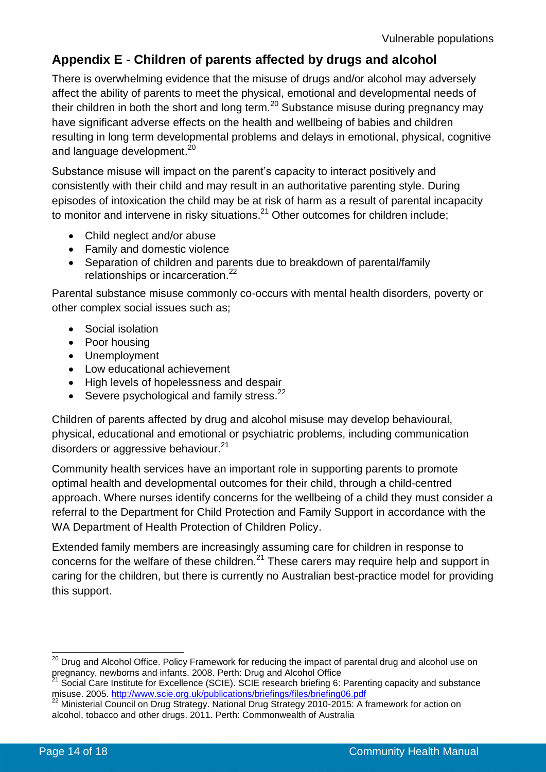## <span id="page-13-0"></span>**Appendix E - Children of parents affected by drugs and alcohol**

There is overwhelming evidence that the misuse of drugs and/or alcohol may adversely affect the ability of parents to meet the physical, emotional and developmental needs of their children in both the short and long term. $^{20}$  Substance misuse during pregnancy may have significant adverse effects on the health and wellbeing of babies and children resulting in long term developmental problems and delays in emotional, physical, cognitive and language development.<sup>20</sup>

Substance misuse will impact on the parent's capacity to interact positively and consistently with their child and may result in an authoritative parenting style. During episodes of intoxication the child may be at risk of harm as a result of parental incapacity to monitor and intervene in risky situations.<sup>21</sup> Other outcomes for children include;

- Child neglect and/or abuse
- Family and domestic violence
- Separation of children and parents due to breakdown of parental/family relationships or incarceration.<sup>22</sup>

Parental substance misuse commonly co-occurs with mental health disorders, poverty or other complex social issues such as;

- Social isolation
- Poor housing
- Unemployment
- Low educational achievement
- High levels of hopelessness and despair
- $\bullet$  Severe psychological and family stress.<sup>22</sup>

Children of parents affected by drug and alcohol misuse may develop behavioural, physical, educational and emotional or psychiatric problems, including communication disorders or aggressive behaviour.<sup>21</sup>

Community health services have an important role in supporting parents to promote optimal health and developmental outcomes for their child, through a child-centred approach. Where nurses identify concerns for the wellbeing of a child they must consider a referral to the Department for Child Protection and Family Support in accordance with the WA Department of Health Protection of Children Policy.

Extended family members are increasingly assuming care for children in response to concerns for the welfare of these children.<sup>21</sup> These carers may require help and support in caring for the children, but there is currently no Australian best-practice model for providing this support.

<sup>&</sup>lt;sup>20</sup> Drug and Alcohol Office. Policy Framework for reducing the impact of parental drug and alcohol use on pregnancy, newborns and infants. 2008. Perth: Drug and Alcohol Office

<sup>&</sup>lt;sup>21</sup> Social Care Institute for Excellence (SCIE). SCIE research briefing 6: Parenting capacity and substance misuse. 2005.<http://www.scie.org.uk/publications/briefings/files/briefing06.pdf>

<sup>&</sup>lt;sup>22</sup> Ministerial Council on Drug Strategy. National Drug Strategy 2010-2015: A framework for action on alcohol, tobacco and other drugs. 2011. Perth: Commonwealth of Australia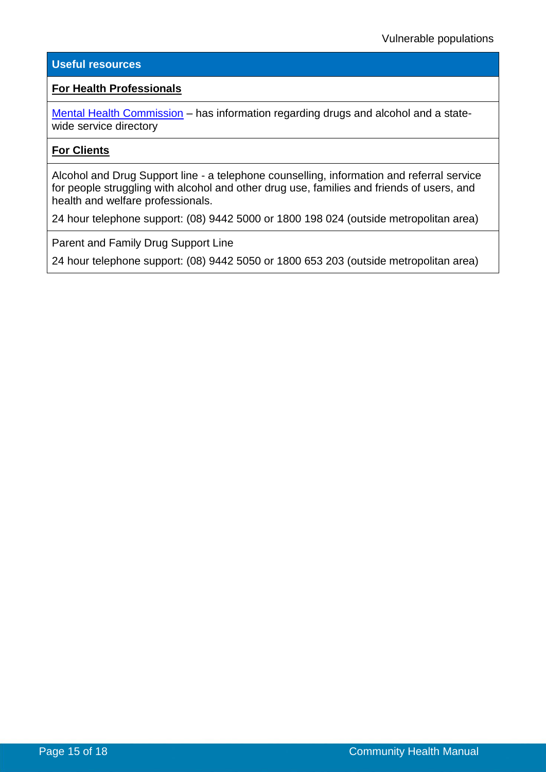#### **Useful resources**

#### **For Health Professionals**

[Mental Health Commission](https://www.mhc.wa.gov.au/#main) - has information regarding drugs and alcohol and a statewide service directory

#### **For Clients**

Alcohol and Drug Support line - a telephone counselling, information and referral service for people struggling with alcohol and other drug use, families and friends of users, and health and welfare professionals.

24 hour telephone support: (08) 9442 5000 or 1800 198 024 (outside metropolitan area)

Parent and Family Drug Support Line

24 hour telephone support: (08) 9442 5050 or 1800 653 203 (outside metropolitan area)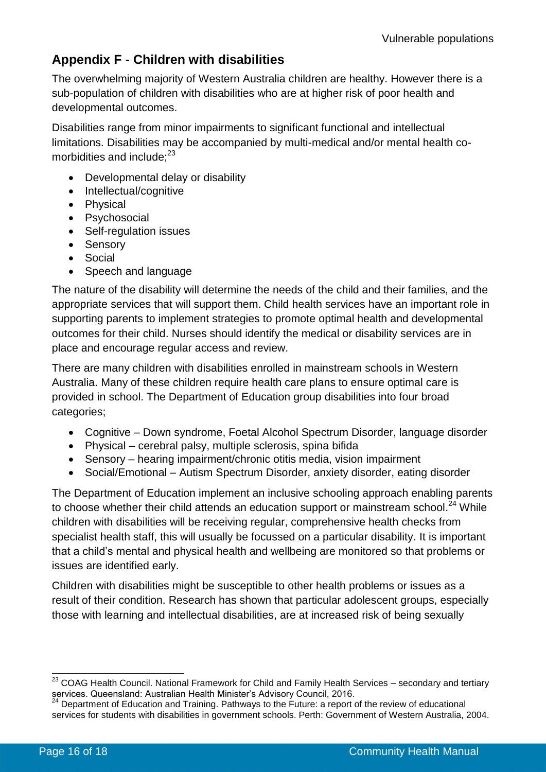## <span id="page-15-0"></span>**Appendix F - Children with disabilities**

The overwhelming majority of Western Australia children are healthy. However there is a sub-population of children with disabilities who are at higher risk of poor health and developmental outcomes.

Disabilities range from minor impairments to significant functional and intellectual limitations. Disabilities may be accompanied by multi-medical and/or mental health comorbidities and include: $23$ 

- Developmental delay or disability
- Intellectual/cognitive
- Physical
- Psychosocial
- Self-regulation issues
- Sensory
- Social
- Speech and language

The nature of the disability will determine the needs of the child and their families, and the appropriate services that will support them. Child health services have an important role in supporting parents to implement strategies to promote optimal health and developmental outcomes for their child. Nurses should identify the medical or disability services are in place and encourage regular access and review.

There are many children with disabilities enrolled in mainstream schools in Western Australia. Many of these children require health care plans to ensure optimal care is provided in school. The Department of Education group disabilities into four broad categories;

- Cognitive Down syndrome, Foetal Alcohol Spectrum Disorder, language disorder
- Physical cerebral palsy, multiple sclerosis, spina bifida
- Sensory hearing impairment/chronic otitis media, vision impairment
- Social/Emotional Autism Spectrum Disorder, anxiety disorder, eating disorder

The Department of Education implement an inclusive schooling approach enabling parents to choose whether their child attends an education support or mainstream school.<sup>24</sup> While children with disabilities will be receiving regular, comprehensive health checks from specialist health staff, this will usually be focussed on a particular disability. It is important that a child's mental and physical health and wellbeing are monitored so that problems or issues are identified early.

Children with disabilities might be susceptible to other health problems or issues as a result of their condition. Research has shown that particular adolescent groups, especially those with learning and intellectual disabilities, are at increased risk of being sexually

 $\overline{a}$  $^{23}$  COAG Health Council. National Framework for Child and Family Health Services – secondary and tertiary services. Queensland: Australian Health Minister's Advisory Council, 2016.

<sup>&</sup>lt;sup>24</sup> Department of Education and Training. Pathways to the Future: a report of the review of educational services for students with disabilities in government schools. Perth: Government of Western Australia, 2004.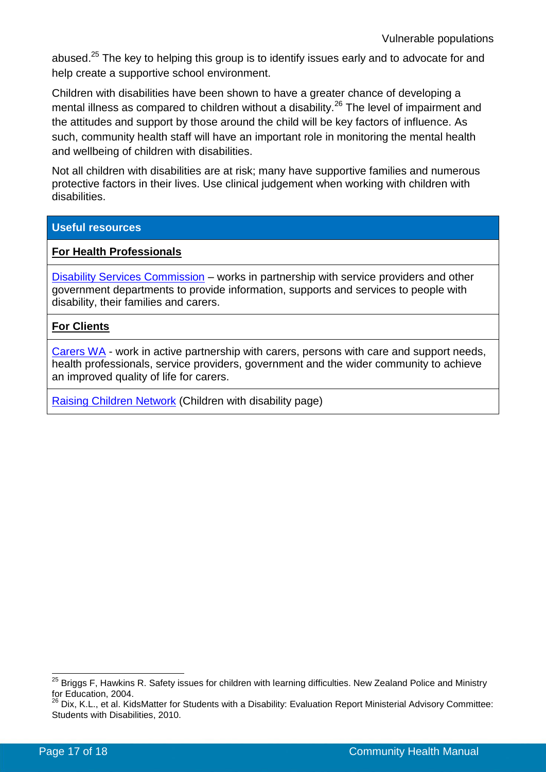abused.<sup>25</sup> The key to helping this group is to identify issues early and to advocate for and help create a supportive school environment.

Children with disabilities have been shown to have a greater chance of developing a mental illness as compared to children without a disability.<sup>26</sup> The level of impairment and the attitudes and support by those around the child will be key factors of influence. As such, community health staff will have an important role in monitoring the mental health and wellbeing of children with disabilities.

Not all children with disabilities are at risk; many have supportive families and numerous protective factors in their lives. Use clinical judgement when working with children with disabilities.

#### **Useful resources**

#### **For Health Professionals**

[Disability Services Commission](http://www.disability.wa.gov.au/) – works in partnership with service providers and other government departments to provide information, supports and services to people with disability, their families and carers.

#### **For Clients**

[Carers WA](https://www.carerswa.asn.au/) - work in active partnership with carers, persons with care and support needs, health professionals, service providers, government and the wider community to achieve an improved quality of life for carers.

[Raising Children Network](http://raisingchildren.net.au/) (Children with disability page)

 $\overline{a}$  $^{25}$  Briggs F, Hawkins R. Safety issues for children with learning difficulties. New Zealand Police and Ministry for Education, 2004.

<sup>26</sup> Dix, K.L., et al. KidsMatter for Students with a Disability: Evaluation Report Ministerial Advisory Committee: Students with Disabilities, 2010.